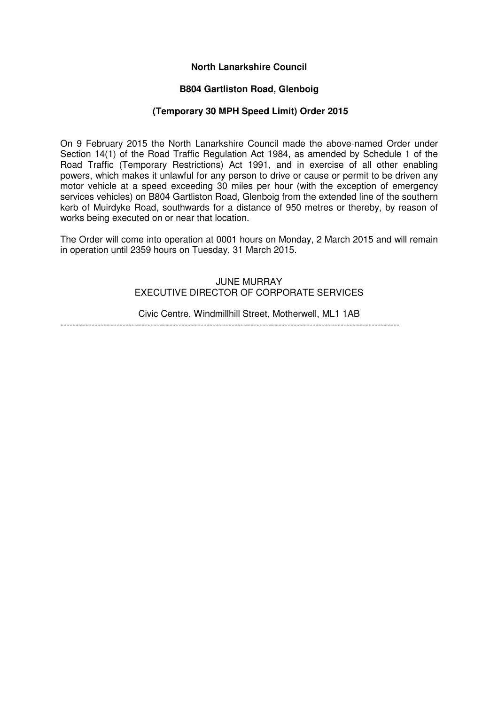### **North Lanarkshire Council**

# **B804 Gartliston Road, Glenboig**

### **(Temporary 30 MPH Speed Limit) Order 2015**

On 9 February 2015 the North Lanarkshire Council made the above-named Order under Section 14(1) of the Road Traffic Regulation Act 1984, as amended by Schedule 1 of the Road Traffic (Temporary Restrictions) Act 1991, and in exercise of all other enabling powers, which makes it unlawful for any person to drive or cause or permit to be driven any motor vehicle at a speed exceeding 30 miles per hour (with the exception of emergency services vehicles) on B804 Gartliston Road, Glenboig from the extended line of the southern kerb of Muirdyke Road, southwards for a distance of 950 metres or thereby, by reason of works being executed on or near that location.

The Order will come into operation at 0001 hours on Monday, 2 March 2015 and will remain in operation until 2359 hours on Tuesday, 31 March 2015.

# JUNE MURRAY EXECUTIVE DIRECTOR OF CORPORATE SERVICES

Civic Centre, Windmillhill Street, Motherwell, ML1 1AB -------------------------------------------------------------------------------------------------------------